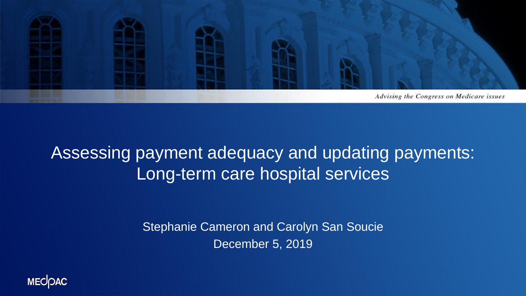

#### Assessing payment adequacy and updating payments: Long-term care hospital services

Stephanie Cameron and Carolyn San Soucie December 5, 2019

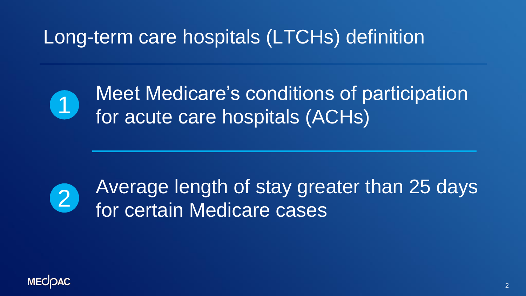Long-term care hospitals (LTCHs) definition



Meet Medicare's conditions of participation **CD** incertificated a corrulations of p<br>for acute care hospitals (ACHs)



Average length of stay greater than 25 days for certain Medicare cases

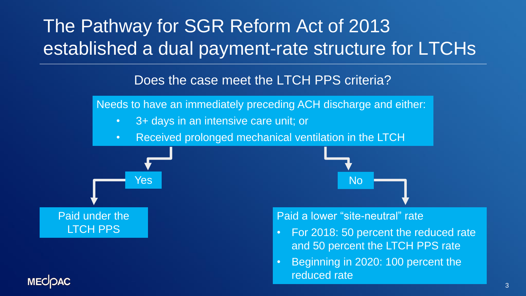#### The Pathway for SGR Reform Act of 2013 established a dual payment-rate structure for LTCHs

#### Does the case meet the LTCH PPS criteria?

Needs to have an immediately preceding ACH discharge and either:

- 3+ days in an intensive care unit; or
- Received prolonged mechanical ventilation in the LTCH





#### Paid a lower "site-neutral" rate

- For 2018: 50 percent the reduced rate and 50 percent the LTCH PPS rate
- Beginning in 2020: 100 percent the reduced rate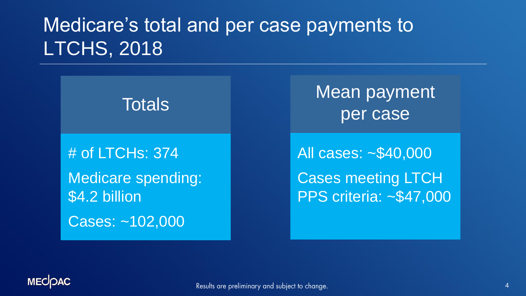#### Medicare's total and per case payments to LTCHS, 2018



Mean payment

All cases: ~\$40,000 Cases meeting LTCH PPS criteria: ~\$47,000

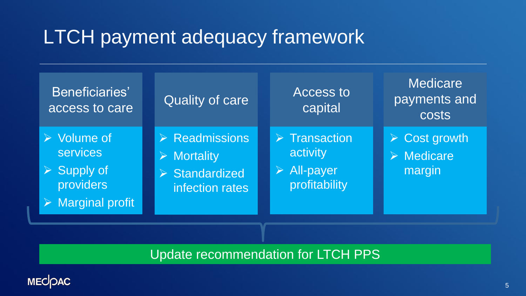#### LTCH payment adequacy framework

| Beneficiaries'<br>access to care                                                                                             | <b>Quality of care</b>                                                                                | <b>Access to</b><br>capital                                                             | <b>Medicare</b><br>payments and<br><b>COStS</b>                     |
|------------------------------------------------------------------------------------------------------------------------------|-------------------------------------------------------------------------------------------------------|-----------------------------------------------------------------------------------------|---------------------------------------------------------------------|
| $\triangleright$ Volume of<br><b>services</b><br>$\triangleright$ Supply of<br>providers<br>$\triangleright$ Marginal profit | $\triangleright$ Readmissions<br><b>Mortality</b><br>$\triangleright$ Standardized<br>infection rates | $\triangleright$ Transaction<br>activity<br>$\triangleright$ All-payer<br>profitability | $\triangleright$ Cost growth<br>$\triangleright$ Medicare<br>margin |

Update recommendation for LTCH PPS

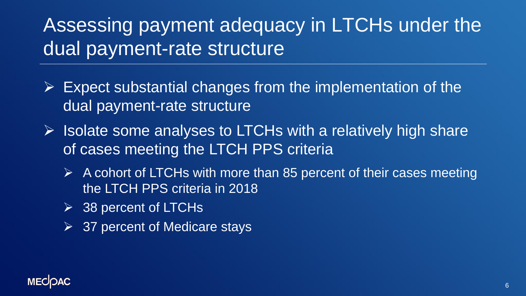## Assessing payment adequacy in LTCHs under the dual payment-rate structure

- $\triangleright$  Expect substantial changes from the implementation of the dual payment-rate structure
- $\triangleright$  Isolate some analyses to LTCHs with a relatively high share of cases meeting the LTCH PPS criteria
	- $\triangleright$  A cohort of LTCHs with more than 85 percent of their cases meeting the LTCH PPS criteria in 2018
	- ➢ 38 percent of LTCHs
	- $\triangleright$  37 percent of Medicare stays

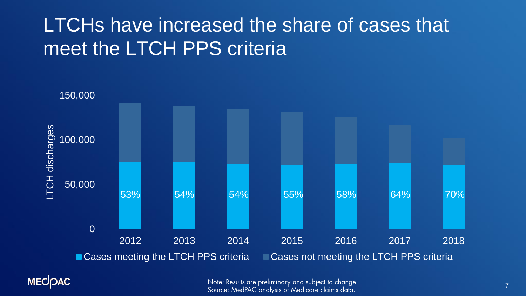#### LTCHs have increased the share of cases that meet the LTCH PPS criteria





Note: Results are preliminary and subject to change. Source: MedPAC analysis of Medicare claims data.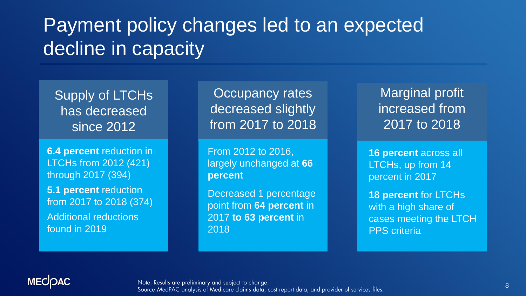## Payment policy changes led to an expected decline in capacity

Supply of LTCHs has decreased since 2012

**6.4 percent** reduction in LTCHs from 2012 (421) through 2017 (394) **5.1 percent** reduction from 2017 to 2018 (374) Additional reductions

found in 2019

Occupancy rates decreased slightly from 2017 to 2018

From 2012 to 2016, largely unchanged at **66 percent**

Decreased 1 percentage point from **64 percent** in 2017 **to 63 percent** in 2018

Marginal profit increased from 2017 to 2018

**16 percent** across all LTCHs, up from 14 percent in 2017

**18 percent** for LTCHs with a high share of cases meeting the LTCH PPS criteria

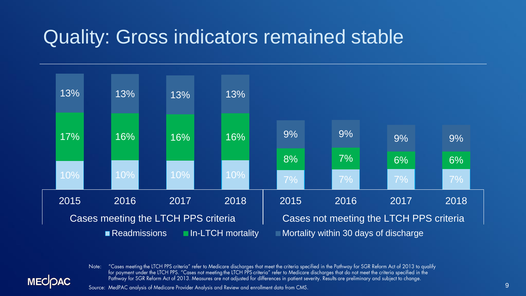#### Quality: Gross indicators remained stable



"Cases meeting the LTCH PPS criteria" refer to Medicare discharges that meet the criteria specified in the Pathway for SGR Reform Act of 2013 to qualify Note: for payment under the LTCH PPS. "Cases not meeting the LTCH PPS criteria" refer to Medicare discharges that do not meet the criteria specified in the Pathway for SGR Reform Act of 2013. Measures are not adjusted for differences in patient severity. Results are preliminary and subject to change.

Source: MedPAC analysis of Medicare Provider Analysis and Review and enrollment data from CMS.

**MECIOAC**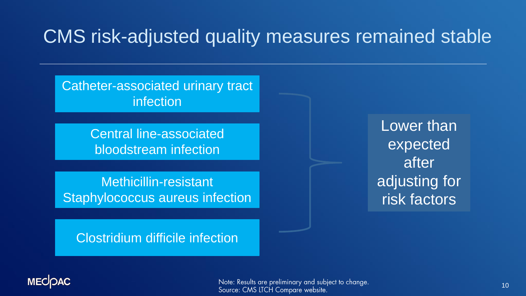#### CMS risk-adjusted quality measures remained stable

Catheter-associated urinary tract infection

> Central line-associated bloodstream infection

Methicillin-resistant Staphylococcus aureus infection

Lower than expected after adjusting for risk factors

Clostridium difficile infection



Note: Results are preliminary and subject to change. Source: CMS LTCH Compare website.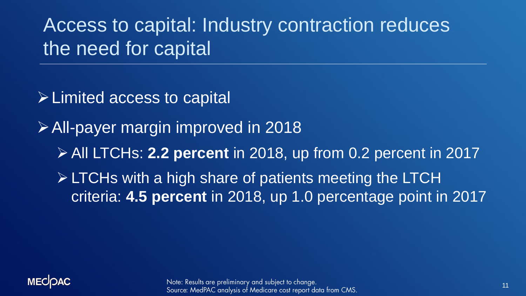Access to capital: Industry contraction reduces the need for capital

- ➢Limited access to capital
- ➢All-payer margin improved in 2018
	- ➢ All LTCHs: **2.2 percent** in 2018, up from 0.2 percent in 2017
	- ➢ LTCHs with a high share of patients meeting the LTCH criteria: **4.5 percent** in 2018, up 1.0 percentage point in 2017

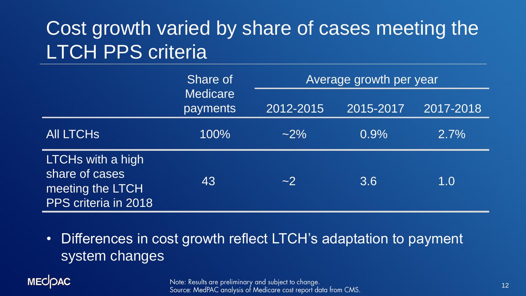# Cost growth varied by share of cases meeting the LTCH PPS criteria

|                                                                                 | Share of                    | Average growth per year |           |           |
|---------------------------------------------------------------------------------|-----------------------------|-------------------------|-----------|-----------|
|                                                                                 | <b>Medicare</b><br>payments | 2012-2015               | 2015-2017 | 2017-2018 |
| <b>AII LTCHS</b>                                                                | 100%                        | $~2\%$                  | 0.9%      | $2.7\%$   |
| LTCHs with a high<br>share of cases<br>meeting the LTCH<br>PPS criteria in 2018 | 43                          | ~2                      | 3.6       | 1.0       |

• Differences in cost growth reflect LTCH's adaptation to payment system changes

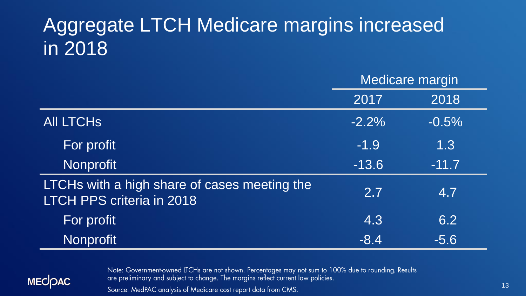### Aggregate LTCH Medicare margins increased in 2018

|                                                                                  | <b>Medicare margin</b> |         |
|----------------------------------------------------------------------------------|------------------------|---------|
|                                                                                  | 2017                   | 2018    |
| <b>AII LTCHS</b>                                                                 | $-2.2%$                | $-0.5%$ |
| For profit                                                                       | $-1.9$                 | 1.3     |
| Nonprofit                                                                        | $-13.6$                | $-11.7$ |
| LTCHs with a high share of cases meeting the<br><b>LTCH PPS criteria in 2018</b> | 2.7                    | 4.7     |
| For profit                                                                       | 4.3                    | 6.2     |
| <b>Nonprofit</b>                                                                 | $-8.4$                 | $-5.6$  |



Note: Government-owned LTCHs are not shown. Percentages may not sum to 100% due to rounding. Results are preliminary and subject to change. The margins reflect current law policies.

Source: MedPAC analysis of Medicare cost report data from CMS.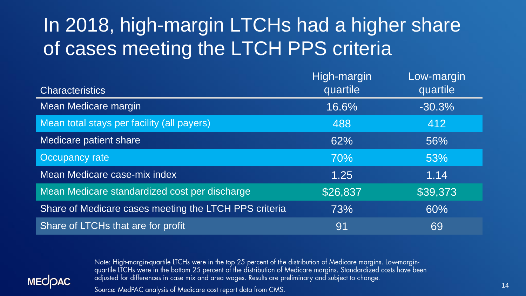# In 2018, high-margin LTCHs had a higher share of cases meeting the LTCH PPS criteria

|                                                       | High-margin | Low-margin |
|-------------------------------------------------------|-------------|------------|
| <b>Characteristics</b>                                | quartile    | quartile   |
| Mean Medicare margin                                  | 16.6%       | $-30.3%$   |
| Mean total stays per facility (all payers)            | 488         | 412        |
| Medicare patient share                                | 62%         | 56%        |
| Occupancy rate                                        | 70%         | 53%        |
| <b>Mean Medicare case-mix index</b>                   | 1.25        | 1.14       |
| Mean Medicare standardized cost per discharge         | \$26,837    | \$39,373   |
| Share of Medicare cases meeting the LTCH PPS criteria | 73%         | 60%        |
| Share of LTCHs that are for profit                    | 91          | 69         |



Note: High-margin-quartile LTCHs were in the top 25 percent of the distribution of Medicare margins. Low-margin-<br>quartile LTCHs were in the bottom 25 percent of the distribution of Medicare margins. Standardized costs have adjusted for differences in case mix and area wages. Results are preliminary and subject to change.

Source: MedPAC analysis of Medicare cost report data from CMS.